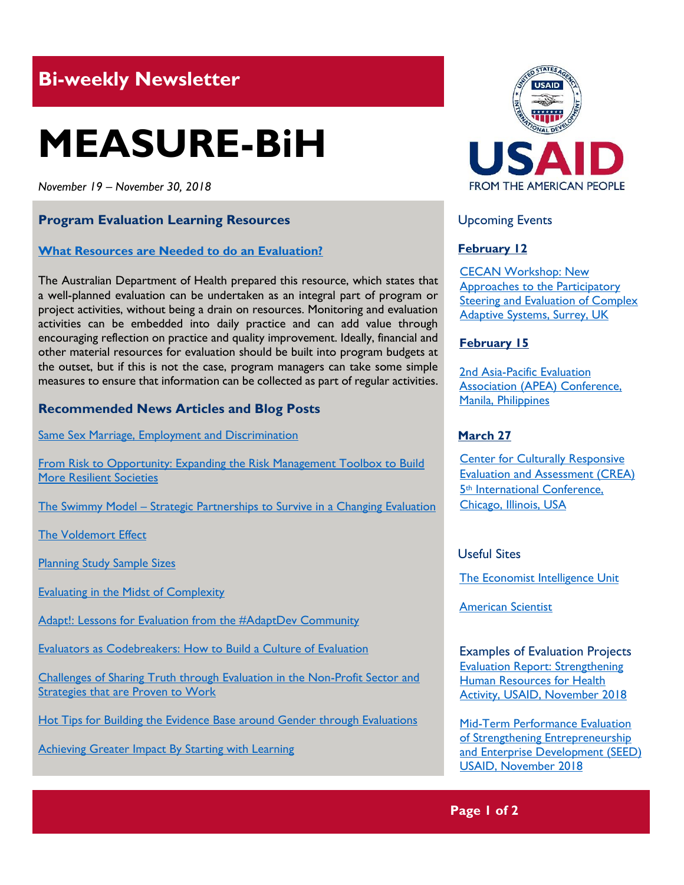# **Bi-weekly Newsletter**

# **MEASURE-BiH**

*November 19 – November 30, 2018*

# **Program Evaluation Learning Resources**

#### **[What Resources are Needed to do an Evaluation?](http://health.gov.au/internet/publications/publishing.nsf/Content/evaluation-tkit-breastfeeding-prgms-projects~planning~resources-evaluation)**

The Australian Department of Health prepared this resource, which states that a well-planned evaluation can be undertaken as an integral part of program or project activities, without being a drain on resources. Monitoring and evaluation activities can be embedded into daily practice and can add value through encouraging reflection on practice and quality improvement. Ideally, financial and other material resources for evaluation should be built into program budgets at the outset, but if this is not the case, program managers can take some simple measures to ensure that information can be collected as part of regular activities.

#### **Recommended News Articles and Blog Posts**

[Same Sex Marriage, Employment and Discrimination](https://blogs.worldbank.org/impactevaluations/same-sex-marriage-employment-and-discrimination-guest-post-dario-sansone)

From Risk to Opportunity: Expanding the Risk Management Toolbox to Build [More Resilient Societies](https://blogs.worldbank.org/developmenttalk/risk-opportunity-expanding-risk-management-toolbox-build-more-resilient-societies)

The Swimmy Model – [Strategic Partnerships to Survive in a Changing Evaluation](https://aea365.org/blog/eers-week-the-swimmy-model-strategic-partnerships-to-survive-in-a-changing-evaluation-market-by-kirk-knestis/)

[The Voldemort Effect](https://aea365.org/blog/eers-week-the-voldemort-effect-by-jennifer-hamilton/) 

[Planning Study Sample Sizes](https://aea365.org/blog/eers-week-planning-study-sample-sizes-by-eric-hedberg/)

[Evaluating in the Midst of Complexity](https://aea365.org/blog/eers-week-evaluating-in-the-midst-of-complexity-by-patricia-moore-shaffer/)

[Adapt!: Lessons for Evaluation from the #AdaptDev Community](https://aea365.org/blog/eers-week-adapt-lessons-for-evaluation-from-the-adaptdev-community-by-tom-archibald/)

[Evaluators as Codebreakers: How to Build a Culture of Evaluation](https://aea365.org/blog/eers-week-evaluators-as-codebreakers-how-to-build-a-culture-of-evaluation-by-elizabeth-grim/)

[Challenges of Sharing Truth through Evaluation in the Non-Profit Sector and](https://aea365.org/blog/challenges-of-sharing-truth-through-evaluation-in-the-non-profit-sector-and-strategies-that-are-proven-to-work-by-alicia-mccoy/)  [Strategies that are Proven to Work](https://aea365.org/blog/challenges-of-sharing-truth-through-evaluation-in-the-non-profit-sector-and-strategies-that-are-proven-to-work-by-alicia-mccoy/)

[Hot Tips for Building the Evidence Base around Gender through Evaluations](https://aea365.org/blog/hot-tips-for-building-the-evidence-base-around-gender-through-evaluations-by-emily-springer/)

[Achieving Greater Impact By Starting with Learning](https://aea365.org/blog/achieving-greater-impact-by-starting-with-learning-by-andrew-taylor-and-ben-liadsky/)



#### Upcoming Events

#### **February 12**

[CECAN Workshop: New](https://www.cecan.ac.uk/events/cecan-workshop-new-approaches-to-participatory-steering-and-evaluation-of-complex-adaptive)  [Approaches to the Participatory](https://www.cecan.ac.uk/events/cecan-workshop-new-approaches-to-participatory-steering-and-evaluation-of-complex-adaptive)  [Steering and Evaluation of Complex](https://www.cecan.ac.uk/events/cecan-workshop-new-approaches-to-participatory-steering-and-evaluation-of-complex-adaptive)  [Adaptive Systems, Surrey, UK](https://www.cecan.ac.uk/events/cecan-workshop-new-approaches-to-participatory-steering-and-evaluation-of-complex-adaptive) 

#### **February 15**

[2nd Asia-Pacific Evaluation](http://apeaconference2019.com/)  [Association \(APEA\) Conference,](http://apeaconference2019.com/)  Manila, Philippines

## **March 27**

**Center for Culturally Responsive** [Evaluation and Assessment \(CREA\)](https://crea.education.illinois.edu/home/fifth-international-conference)  5th [International Conference,](https://crea.education.illinois.edu/home/fifth-international-conference)  [Chicago, Illinois, USA](https://crea.education.illinois.edu/home/fifth-international-conference) 

# Useful Sites

[The Economist Intelligence Unit](http://www.eiu.com/home.aspx)

[American](https://www.americanscientist.org/) Scientist

Examples of Evaluation Projects [Evaluation Report: Strengthening](https://dec.usaid.gov/dec/content/Detail_Presto.aspx?ctID=ODVhZjk4NWQtM2YyMi00YjRmLTkxNjktZTcxMjM2NDBmY2Uy&rID=NTE0MTky&qrs=RmFsc2U%3d&q=KERvY3VtZW50cy5CaWJ0eXBlX05hbWU6KCgiU3BlY2lhbCBFdmFsdWF0aW9uIikgT1IgKCJGaW5hbCBFdmFsdWF0aW9uIFJlcG9ydCIpKSk%3d&ph=VHJ1ZQ%3d%3d&bckToL=VHJ1ZQ%3d%3d&rrtc=VHJ1ZQ%3d%3d)  [Human Resources for Health](https://dec.usaid.gov/dec/content/Detail_Presto.aspx?ctID=ODVhZjk4NWQtM2YyMi00YjRmLTkxNjktZTcxMjM2NDBmY2Uy&rID=NTE0MTky&qrs=RmFsc2U%3d&q=KERvY3VtZW50cy5CaWJ0eXBlX05hbWU6KCgiU3BlY2lhbCBFdmFsdWF0aW9uIikgT1IgKCJGaW5hbCBFdmFsdWF0aW9uIFJlcG9ydCIpKSk%3d&ph=VHJ1ZQ%3d%3d&bckToL=VHJ1ZQ%3d%3d&rrtc=VHJ1ZQ%3d%3d)  [Activity, USAID, November](https://dec.usaid.gov/dec/content/Detail_Presto.aspx?ctID=ODVhZjk4NWQtM2YyMi00YjRmLTkxNjktZTcxMjM2NDBmY2Uy&rID=NTE0MTky&qrs=RmFsc2U%3d&q=KERvY3VtZW50cy5CaWJ0eXBlX05hbWU6KCgiU3BlY2lhbCBFdmFsdWF0aW9uIikgT1IgKCJGaW5hbCBFdmFsdWF0aW9uIFJlcG9ydCIpKSk%3d&ph=VHJ1ZQ%3d%3d&bckToL=VHJ1ZQ%3d%3d&rrtc=VHJ1ZQ%3d%3d) 2018

[Mid-Term Performance Evaluation](https://dec.usaid.gov/dec/content/Detail_Presto.aspx?ctID=ODVhZjk4NWQtM2YyMi00YjRmLTkxNjktZTcxMjM2NDBmY2Uy&rID=NTEzOTY4&qrs=RmFsc2U%3d&q=KERvY3VtZW50cy5CaWJ0eXBlX05hbWU6KCgiU3BlY2lhbCBFdmFsdWF0aW9uIikgT1IgKCJGaW5hbCBFdmFsdWF0aW9uIFJlcG9ydCIpKSk%3d&ph=VHJ1ZQ%3d%3d&bckToL=VHJ1ZQ%3d%3d&rrtc=VHJ1ZQ%3d%3d)  [of Strengthening Entrepreneurship](https://dec.usaid.gov/dec/content/Detail_Presto.aspx?ctID=ODVhZjk4NWQtM2YyMi00YjRmLTkxNjktZTcxMjM2NDBmY2Uy&rID=NTEzOTY4&qrs=RmFsc2U%3d&q=KERvY3VtZW50cy5CaWJ0eXBlX05hbWU6KCgiU3BlY2lhbCBFdmFsdWF0aW9uIikgT1IgKCJGaW5hbCBFdmFsdWF0aW9uIFJlcG9ydCIpKSk%3d&ph=VHJ1ZQ%3d%3d&bckToL=VHJ1ZQ%3d%3d&rrtc=VHJ1ZQ%3d%3d)  [and Enterprise Development \(SEED\)](https://dec.usaid.gov/dec/content/Detail_Presto.aspx?ctID=ODVhZjk4NWQtM2YyMi00YjRmLTkxNjktZTcxMjM2NDBmY2Uy&rID=NTEzOTY4&qrs=RmFsc2U%3d&q=KERvY3VtZW50cy5CaWJ0eXBlX05hbWU6KCgiU3BlY2lhbCBFdmFsdWF0aW9uIikgT1IgKCJGaW5hbCBFdmFsdWF0aW9uIFJlcG9ydCIpKSk%3d&ph=VHJ1ZQ%3d%3d&bckToL=VHJ1ZQ%3d%3d&rrtc=VHJ1ZQ%3d%3d) [USAID, November](https://dec.usaid.gov/dec/content/Detail_Presto.aspx?ctID=ODVhZjk4NWQtM2YyMi00YjRmLTkxNjktZTcxMjM2NDBmY2Uy&rID=NTEzOTY4&qrs=RmFsc2U%3d&q=KERvY3VtZW50cy5CaWJ0eXBlX05hbWU6KCgiU3BlY2lhbCBFdmFsdWF0aW9uIikgT1IgKCJGaW5hbCBFdmFsdWF0aW9uIFJlcG9ydCIpKSk%3d&ph=VHJ1ZQ%3d%3d&bckToL=VHJ1ZQ%3d%3d&rrtc=VHJ1ZQ%3d%3d) 2018

**Page 1 of 2**